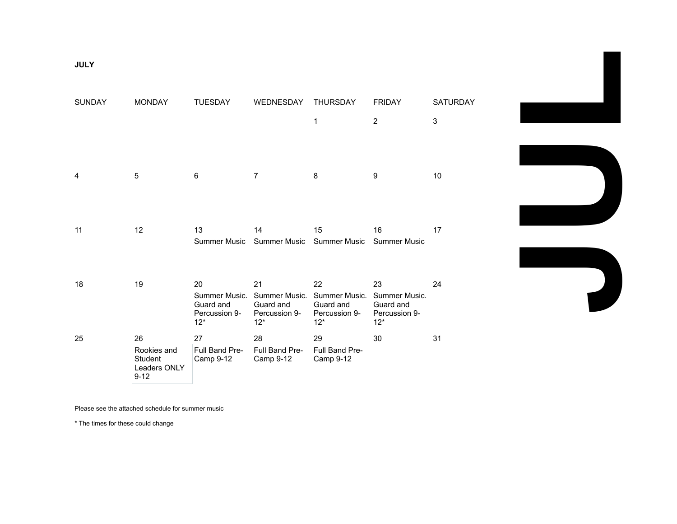| <b>SUNDAY</b> | <b>MONDAY</b>                | <b>TUESDAY</b>                                             | WEDNESDAY                                                  | THURSDAY                                                   | <b>FRIDAY</b>                                              | SATURDAY |
|---------------|------------------------------|------------------------------------------------------------|------------------------------------------------------------|------------------------------------------------------------|------------------------------------------------------------|----------|
|               |                              |                                                            |                                                            | 1                                                          | $\overline{2}$                                             | 3        |
| 4             | 5                            | $6\phantom{1}6$                                            | $\overline{7}$                                             | 8                                                          | 9                                                          | 10       |
| 11            | 12                           | 13<br><b>Summer Music</b>                                  | 14<br>Summer Music                                         | 15<br><b>Summer Music</b>                                  | 16<br><b>Summer Music</b>                                  | 17       |
| 18            | 19                           | 20<br>Summer Music.<br>Guard and<br>Percussion 9-<br>$12*$ | 21<br>Summer Music.<br>Guard and<br>Percussion 9-<br>$12*$ | 22<br>Summer Music.<br>Guard and<br>Percussion 9-<br>$12*$ | 23<br>Summer Music.<br>Guard and<br>Percussion 9-<br>$12*$ | 24       |
| 25            | 26<br>Rookies and<br>Student | 27<br>Full Band Pre-<br>Camp 9-12                          | 28<br>Full Band Pre-<br>Camp 9-12                          | 29<br>Full Band Pre-<br>Camp 9-12                          | 30                                                         | 31       |

**JUL**

Please see the attached schedule for summer music

9-12

Leaders ONLY

\* The times for these could change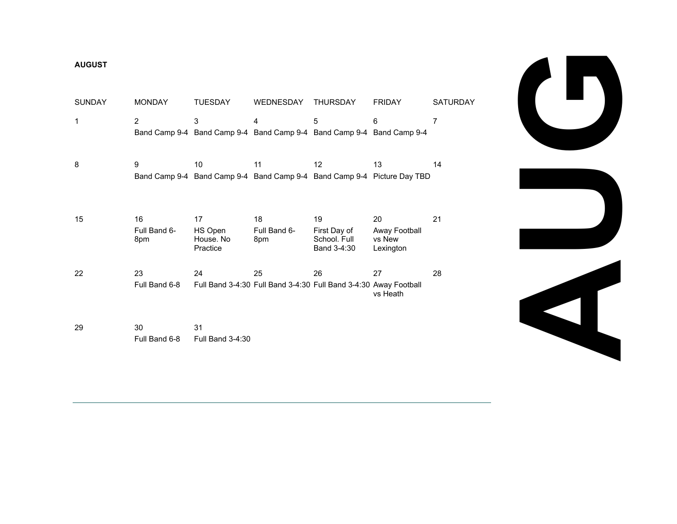#### **AUGUST**

| <b>SUNDAY</b> | <b>MONDAY</b>             | <b>TUESDAY</b>                                                                | WEDNESDAY                 | <b>THURSDAY</b>                                                        | <b>FRIDAY</b>                              | <b>SATURDAY</b> |
|---------------|---------------------------|-------------------------------------------------------------------------------|---------------------------|------------------------------------------------------------------------|--------------------------------------------|-----------------|
| 1             | 2                         | 3<br>Band Camp 9-4 Band Camp 9-4 Band Camp 9-4 Band Camp 9-4 Band Camp 9-4    | 4                         | 5                                                                      | 6                                          | 7               |
| 8             | 9                         | 10<br>Band Camp 9-4 Band Camp 9-4 Band Camp 9-4 Band Camp 9-4 Picture Day TBD | 11                        | 12                                                                     | 13                                         | 14              |
| 15            | 16<br>Full Band 6-<br>8pm | 17<br>HS Open<br>House, No.<br>Practice                                       | 18<br>Full Band 6-<br>8pm | 19<br>First Day of<br>School, Full<br>Band 3-4:30                      | 20<br>Away Football<br>vs New<br>Lexington | 21              |
| 22            | 23<br>Full Band 6-8       | 24                                                                            | 25                        | 26<br>Full Band 3-4:30 Full Band 3-4:30 Full Band 3-4:30 Away Football | 27<br>vs Heath                             | 28              |
| 29            | 30<br>Full Band 6-8       | 31<br>Full Band 3-4:30                                                        |                           |                                                                        |                                            |                 |





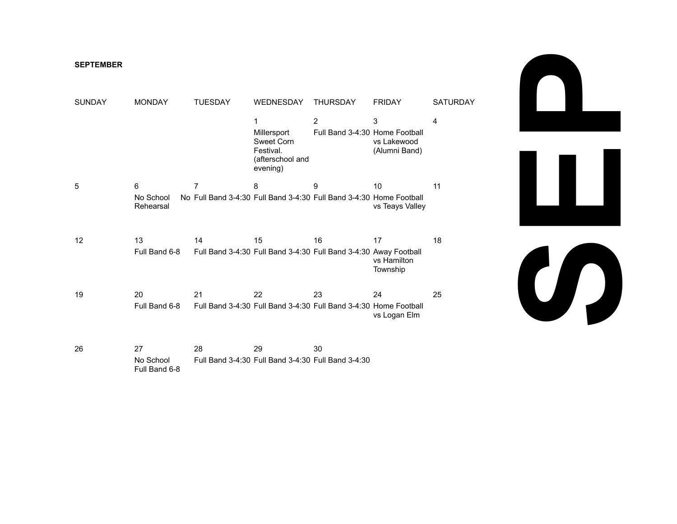#### **SEPTEMBER**

| <b>SUNDAY</b> | <b>MONDAY</b>              | <b>TUESDAY</b>                                                      | WEDNESDAY                                                                   | <b>THURSDAY</b>                                                  | <b>FRIDAY</b>                     | <b>SATURDAY</b> |
|---------------|----------------------------|---------------------------------------------------------------------|-----------------------------------------------------------------------------|------------------------------------------------------------------|-----------------------------------|-----------------|
|               |                            |                                                                     | 1<br>Millersport<br>Sweet Corn<br>Festival.<br>(afterschool and<br>evening) | $\overline{2}$<br>Full Band 3-4:30 Home Football                 | 3<br>vs Lakewood<br>(Alumni Band) | 4               |
| 5             | 6                          | $\overline{7}$                                                      | 8                                                                           | 9                                                                | 10                                | 11              |
|               | No School<br>Rehearsal     | No Full Band 3-4:30 Full Band 3-4:30 Full Band 3-4:30 Home Football |                                                                             |                                                                  | vs Teays Valley                   |                 |
| 12            | 13                         | 14                                                                  | 15                                                                          | 16                                                               | 17                                | 18              |
|               | Full Band 6-8              |                                                                     |                                                                             | Full Band 3-4:30 Full Band 3-4:30 Full Band 3-4:30 Away Football | vs Hamilton<br>Township           |                 |
| 19            | 20                         | 21                                                                  | 22                                                                          | 23                                                               | 24                                | 25              |
|               | Full Band 6-8              |                                                                     |                                                                             | Full Band 3-4:30 Full Band 3-4:30 Full Band 3-4:30 Home Football | vs Logan Elm                      |                 |
| 26            | 27                         | 28                                                                  | 29                                                                          | 30                                                               |                                   |                 |
|               | No School<br>Full Band 6-8 |                                                                     | Full Band 3-4:30 Full Band 3-4:30 Full Band 3-4:30                          |                                                                  |                                   |                 |

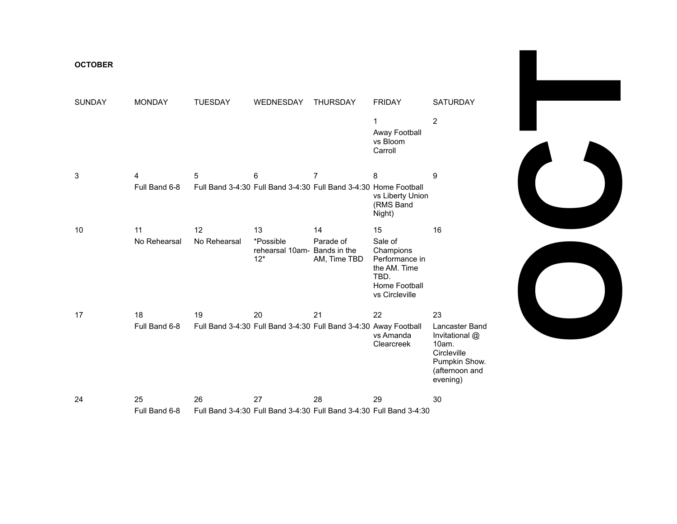## **OCTOBER**

| <b>SUNDAY</b> | <b>MONDAY</b> | <b>TUESDAY</b> | <b>WEDNESDAY</b>                                   | <b>THURSDAY</b>                                                     | <b>FRIDAY</b>                                                                                     | <b>SATURDAY</b>                                                                                         |
|---------------|---------------|----------------|----------------------------------------------------|---------------------------------------------------------------------|---------------------------------------------------------------------------------------------------|---------------------------------------------------------------------------------------------------------|
|               |               |                |                                                    |                                                                     | 1<br>Away Football<br>vs Bloom<br>Carroll                                                         | $\overline{2}$                                                                                          |
| 3             | 4             | 5              | 6                                                  | 7                                                                   | 8                                                                                                 | 9                                                                                                       |
|               | Full Band 6-8 |                |                                                    | Full Band 3-4:30 Full Band 3-4:30 Full Band 3-4:30 Home Football    | vs Liberty Union<br>(RMS Band<br>Night)                                                           |                                                                                                         |
| 10            | 11            | 12             | 13                                                 | 14                                                                  | 15                                                                                                | 16                                                                                                      |
|               | No Rehearsal  | No Rehearsal   | *Possible<br>rehearsal 10am- Bands in the<br>$12*$ | Parade of<br>AM, Time TBD                                           | Sale of<br>Champions<br>Performance in<br>the AM. Time<br>TBD.<br>Home Football<br>vs Circleville |                                                                                                         |
| 17            | 18            | 19             | 20                                                 | 21                                                                  | 22                                                                                                | 23                                                                                                      |
|               | Full Band 6-8 |                |                                                    | Full Band 3-4:30 Full Band 3-4:30 Full Band 3-4:30 Away Football    | vs Amanda<br>Clearcreek                                                                           | Lancaster Band<br>Invitational @<br>10am.<br>Circleville<br>Pumpkin Show.<br>(afternoon and<br>evening) |
| 24            | 25            | 26             | 27                                                 | 28                                                                  | 29                                                                                                | 30                                                                                                      |
|               | Full Band 6-8 |                |                                                    | Full Band 3-4:30 Full Band 3-4:30 Full Band 3-4:30 Full Band 3-4:30 |                                                                                                   |                                                                                                         |

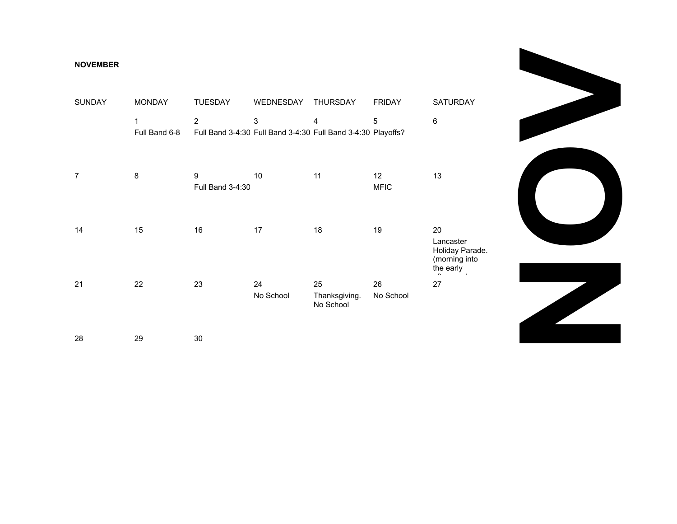### **NOVEMBER**

| <b>SUNDAY</b>  | <b>MONDAY</b>      | <b>TUESDAY</b>                                                                 | WEDNESDAY       | <b>THURSDAY</b>                  | <b>FRIDAY</b>     | SATURDAY                                                                        |
|----------------|--------------------|--------------------------------------------------------------------------------|-----------------|----------------------------------|-------------------|---------------------------------------------------------------------------------|
|                | 1<br>Full Band 6-8 | $\overline{c}$<br>Full Band 3-4:30 Full Band 3-4:30 Full Band 3-4:30 Playoffs? | $\mathsf 3$     | 4                                | 5                 | 6                                                                               |
| $\overline{7}$ | 8                  | $\boldsymbol{9}$<br>Full Band 3-4:30                                           | 10              | 11                               | 12<br><b>MFIC</b> | 13                                                                              |
| 14             | 15                 | 16                                                                             | 17              | 18                               | 19                | 20<br>Lancaster<br>Holiday Parade.<br>(morning into<br>the early<br>$\cdot$<br> |
| 21             | 22                 | 23                                                                             | 24<br>No School | 25<br>Thanksgiving.<br>No School | 26<br>No School   | 27                                                                              |
| 28             | 29                 | $30\,$                                                                         |                 |                                  |                   |                                                                                 |